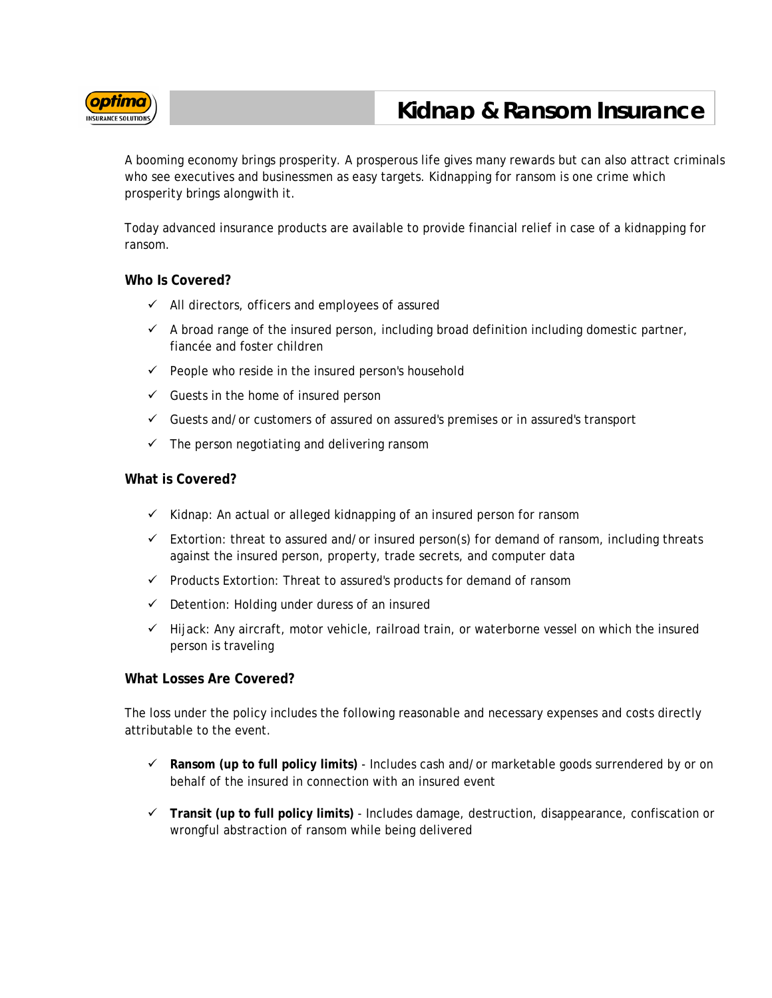

## **Kidnap & Ransom Insurance**

A booming economy brings prosperity. A prosperous life gives many rewards but can also attract criminals who see executives and businessmen as easy targets. Kidnapping for ransom is one crime which prosperity brings alongwith it.

Today advanced insurance products are available to provide financial relief in case of a kidnapping for ransom.

## **Who Is Covered?**

- $\checkmark$  All directors, officers and employees of assured
- $\checkmark$  A broad range of the insured person, including broad definition including domestic partner, fiancée and foster children
- $\checkmark$  People who reside in the insured person's household
- $\checkmark$  Guests in the home of insured person
- $\checkmark$  Guests and/or customers of assured on assured's premises or in assured's transport
- $\checkmark$  The person negotiating and delivering ransom

## **What is Covered?**

- $\checkmark$  Kidnap: An actual or alleged kidnapping of an insured person for ransom
- $\checkmark$  Extortion: threat to assured and/or insured person(s) for demand of ransom, including threats against the insured person, property, trade secrets, and computer data
- $\checkmark$  Products Extortion: Threat to assured's products for demand of ransom
- $\checkmark$  Detention: Holding under duress of an insured
- $\checkmark$  Hijack: Any aircraft, motor vehicle, railroad train, or waterborne vessel on which the insured person is traveling

## **What Losses Are Covered?**

The loss under the policy includes the following reasonable and necessary expenses and costs directly attributable to the event.

- **Ransom (up to full policy limits)** Includes cash and/or marketable goods surrendered by or on behalf of the insured in connection with an insured event
- **Transit (up to full policy limits)** Includes damage, destruction, disappearance, confiscation or wrongful abstraction of ransom while being delivered